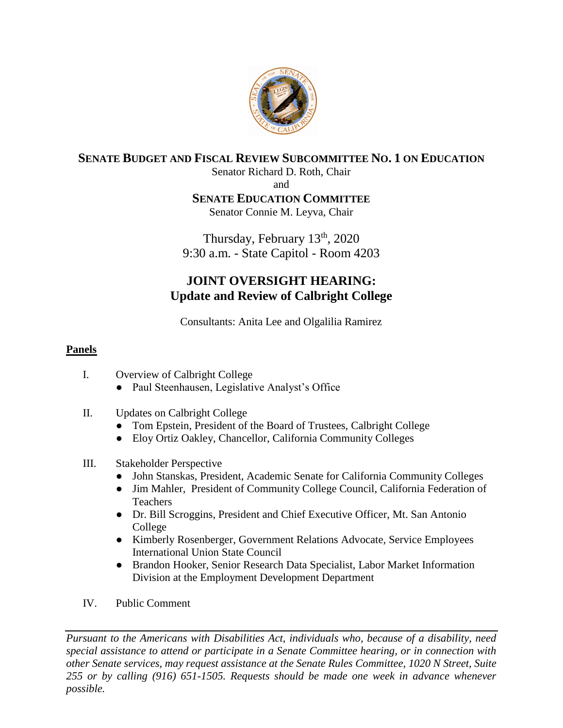

# **SENATE BUDGET AND FISCAL REVIEW SUBCOMMITTEE NO. 1 ON EDUCATION**

Senator Richard D. Roth, Chair

and

### **SENATE EDUCATION COMMITTEE**

Senator Connie M. Leyva, Chair

Thursday, February 13<sup>th</sup>, 2020 9:30 a.m. - State Capitol - Room 4203

# **JOINT OVERSIGHT HEARING: Update and Review of Calbright College**

Consultants: Anita Lee and Olgalilia Ramirez

### **Panels**

- I. Overview of Calbright College
	- Paul Steenhausen, Legislative Analyst's Office
- II. Updates on Calbright College
	- Tom Epstein, President of the Board of Trustees, Calbright College
	- Eloy Ortiz Oakley, Chancellor, California Community Colleges

### III. Stakeholder Perspective

- John Stanskas, President, Academic Senate for California Community Colleges
- Jim Mahler, President of Community College Council, California Federation of Teachers
- Dr. Bill Scroggins, President and Chief Executive Officer, Mt. San Antonio College
- Kimberly Rosenberger, Government Relations Advocate, Service Employees International Union State Council
- Brandon Hooker, Senior Research Data Specialist, Labor Market Information Division at the Employment Development Department
- IV. Public Comment

*Pursuant to the Americans with Disabilities Act, individuals who, because of a disability, need special assistance to attend or participate in a Senate Committee hearing, or in connection with other Senate services, may request assistance at the Senate Rules Committee, 1020 N Street, Suite 255 or by calling (916) 651-1505. Requests should be made one week in advance whenever possible.*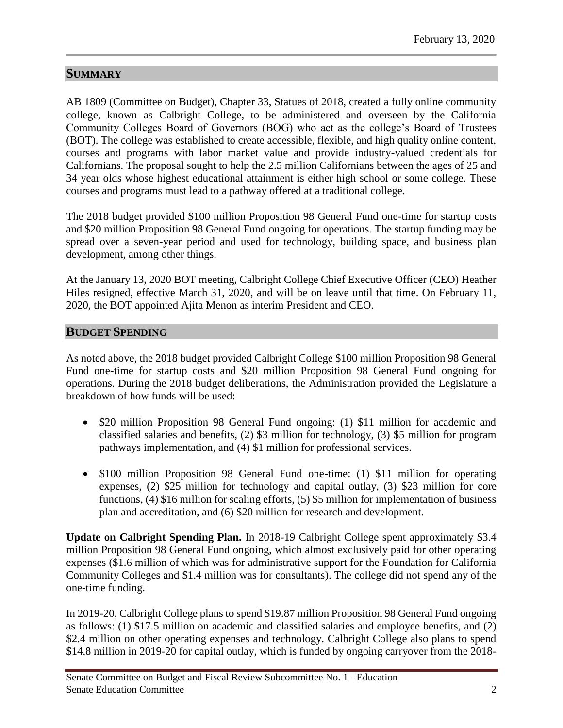## **SUMMARY**

AB 1809 (Committee on Budget), Chapter 33, Statues of 2018, created a fully online community college, known as Calbright College, to be administered and overseen by the California Community Colleges Board of Governors (BOG) who act as the college's Board of Trustees (BOT). The college was established to create accessible, flexible, and high quality online content, courses and programs with labor market value and provide industry-valued credentials for Californians. The proposal sought to help the 2.5 million Californians between the ages of 25 and 34 year olds whose highest educational attainment is either high school or some college. These courses and programs must lead to a pathway offered at a traditional college.

The 2018 budget provided \$100 million Proposition 98 General Fund one-time for startup costs and \$20 million Proposition 98 General Fund ongoing for operations. The startup funding may be spread over a seven-year period and used for technology, building space, and business plan development, among other things.

At the January 13, 2020 BOT meeting, Calbright College Chief Executive Officer (CEO) Heather Hiles resigned, effective March 31, 2020, and will be on leave until that time. On February 11, 2020, the BOT appointed Ajita Menon as interim President and CEO.

#### **BUDGET SPENDING**

As noted above, the 2018 budget provided Calbright College \$100 million Proposition 98 General Fund one-time for startup costs and \$20 million Proposition 98 General Fund ongoing for operations. During the 2018 budget deliberations, the Administration provided the Legislature a breakdown of how funds will be used:

- \$20 million Proposition 98 General Fund ongoing: (1) \$11 million for academic and classified salaries and benefits, (2) \$3 million for technology, (3) \$5 million for program pathways implementation, and (4) \$1 million for professional services.
- \$100 million Proposition 98 General Fund one-time: (1) \$11 million for operating expenses, (2) \$25 million for technology and capital outlay, (3) \$23 million for core functions, (4) \$16 million for scaling efforts, (5) \$5 million for implementation of business plan and accreditation, and (6) \$20 million for research and development.

**Update on Calbright Spending Plan.** In 2018-19 Calbright College spent approximately \$3.4 million Proposition 98 General Fund ongoing, which almost exclusively paid for other operating expenses (\$1.6 million of which was for administrative support for the Foundation for California Community Colleges and \$1.4 million was for consultants). The college did not spend any of the one-time funding.

In 2019-20, Calbright College plans to spend \$19.87 million Proposition 98 General Fund ongoing as follows: (1) \$17.5 million on academic and classified salaries and employee benefits, and (2) \$2.4 million on other operating expenses and technology. Calbright College also plans to spend \$14.8 million in 2019-20 for capital outlay, which is funded by ongoing carryover from the 2018-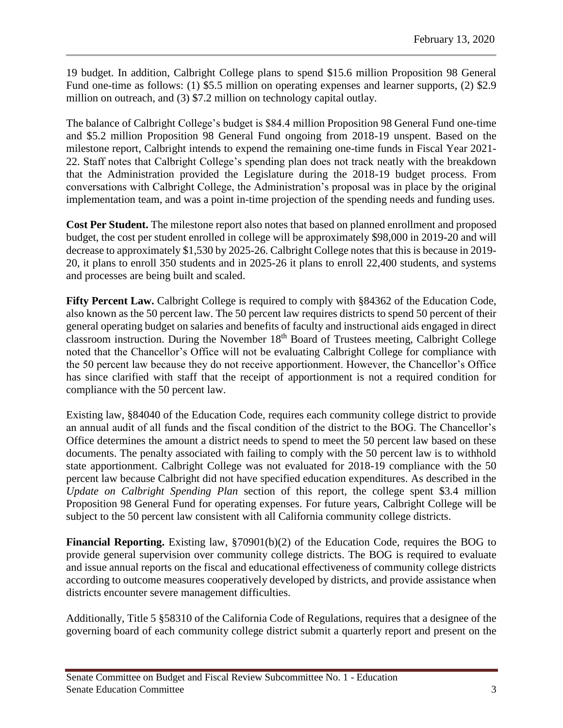19 budget. In addition, Calbright College plans to spend \$15.6 million Proposition 98 General Fund one-time as follows: (1) \$5.5 million on operating expenses and learner supports, (2) \$2.9 million on outreach, and (3) \$7.2 million on technology capital outlay.

The balance of Calbright College's budget is \$84.4 million Proposition 98 General Fund one-time and \$5.2 million Proposition 98 General Fund ongoing from 2018-19 unspent. Based on the milestone report, Calbright intends to expend the remaining one-time funds in Fiscal Year 2021- 22. Staff notes that Calbright College's spending plan does not track neatly with the breakdown that the Administration provided the Legislature during the 2018-19 budget process. From conversations with Calbright College, the Administration's proposal was in place by the original implementation team, and was a point in-time projection of the spending needs and funding uses.

**Cost Per Student.** The milestone report also notes that based on planned enrollment and proposed budget, the cost per student enrolled in college will be approximately \$98,000 in 2019-20 and will decrease to approximately \$1,530 by 2025-26. Calbright College notes that this is because in 2019- 20, it plans to enroll 350 students and in 2025-26 it plans to enroll 22,400 students, and systems and processes are being built and scaled.

**Fifty Percent Law.** Calbright College is required to comply with §84362 of the Education Code, also known as the 50 percent law. The 50 percent law requires districts to spend 50 percent of their general operating budget on salaries and benefits of faculty and instructional aids engaged in direct classroom instruction. During the November  $18<sup>th</sup>$  Board of Trustees meeting, Calbright College noted that the Chancellor's Office will not be evaluating Calbright College for compliance with the 50 percent law because they do not receive apportionment. However, the Chancellor's Office has since clarified with staff that the receipt of apportionment is not a required condition for compliance with the 50 percent law.

Existing law, §84040 of the Education Code, requires each community college district to provide an annual audit of all funds and the fiscal condition of the district to the BOG. The Chancellor's Office determines the amount a district needs to spend to meet the 50 percent law based on these documents. The penalty associated with failing to comply with the 50 percent law is to withhold state apportionment. Calbright College was not evaluated for 2018-19 compliance with the 50 percent law because Calbright did not have specified education expenditures. As described in the *Update on Calbright Spending Plan* section of this report, the college spent \$3.4 million Proposition 98 General Fund for operating expenses. For future years, Calbright College will be subject to the 50 percent law consistent with all California community college districts.

**Financial Reporting.** Existing law, §70901(b)(2) of the Education Code, requires the BOG to provide general supervision over community college districts. The BOG is required to evaluate and issue annual reports on the fiscal and educational effectiveness of community college districts according to outcome measures cooperatively developed by districts, and provide assistance when districts encounter severe management difficulties.

Additionally, Title 5 §58310 of the California Code of Regulations, requires that a designee of the governing board of each community college district submit a quarterly report and present on the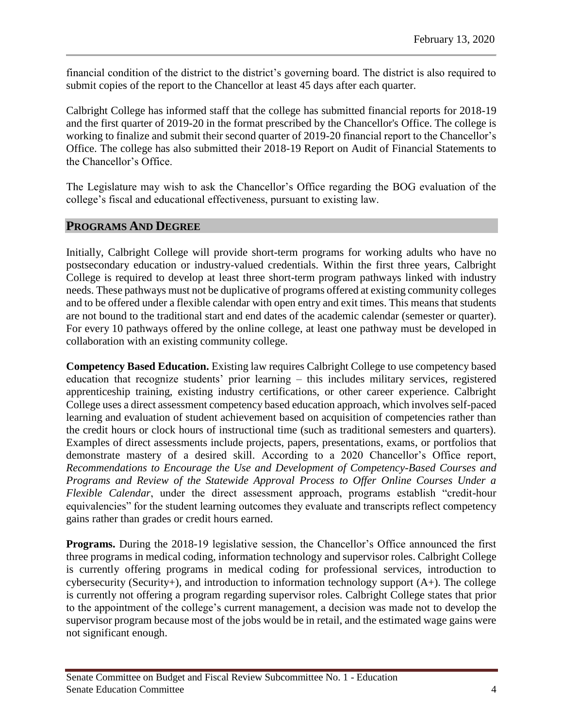financial condition of the district to the district's governing board. The district is also required to submit copies of the report to the Chancellor at least 45 days after each quarter.

Calbright College has informed staff that the college has submitted financial reports for 2018-19 and the first quarter of 2019-20 in the format prescribed by the Chancellor's Office. The college is working to finalize and submit their second quarter of 2019-20 financial report to the Chancellor's Office. The college has also submitted their 2018-19 Report on Audit of Financial Statements to the Chancellor's Office.

The Legislature may wish to ask the Chancellor's Office regarding the BOG evaluation of the college's fiscal and educational effectiveness, pursuant to existing law.

#### **PROGRAMS AND DEGREE**

Initially, Calbright College will provide short-term programs for working adults who have no postsecondary education or industry-valued credentials. Within the first three years, Calbright College is required to develop at least three short-term program pathways linked with industry needs. These pathways must not be duplicative of programs offered at existing community colleges and to be offered under a flexible calendar with open entry and exit times. This means that students are not bound to the traditional start and end dates of the academic calendar (semester or quarter). For every 10 pathways offered by the online college, at least one pathway must be developed in collaboration with an existing community college.

**Competency Based Education.** Existing law requires Calbright College to use competency based education that recognize students' prior learning – this includes military services, registered apprenticeship training, existing industry certifications, or other career experience. Calbright College uses a direct assessment competency based education approach, which involves self-paced learning and evaluation of student achievement based on acquisition of competencies rather than the credit hours or clock hours of instructional time (such as traditional semesters and quarters). Examples of direct assessments include projects, papers, presentations, exams, or portfolios that demonstrate mastery of a desired skill. According to a 2020 Chancellor's Office report, *Recommendations to Encourage the Use and Development of Competency-Based Courses and Programs and Review of the Statewide Approval Process to Offer Online Courses Under a Flexible Calendar*, under the direct assessment approach, programs establish "credit-hour equivalencies" for the student learning outcomes they evaluate and transcripts reflect competency gains rather than grades or credit hours earned.

**Programs.** During the 2018-19 legislative session, the Chancellor's Office announced the first three programs in medical coding, information technology and supervisor roles. Calbright College is currently offering programs in medical coding for professional services, introduction to cybersecurity (Security+), and introduction to information technology support  $(A+)$ . The college is currently not offering a program regarding supervisor roles. Calbright College states that prior to the appointment of the college's current management, a decision was made not to develop the supervisor program because most of the jobs would be in retail, and the estimated wage gains were not significant enough.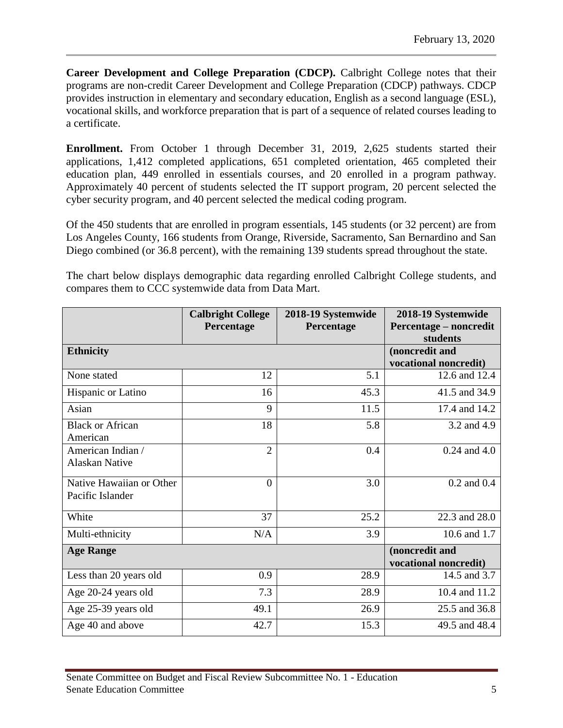**Career Development and College Preparation (CDCP).** Calbright College notes that their programs are non-credit Career Development and College Preparation (CDCP) pathways. CDCP provides instruction in elementary and secondary education, English as a second language (ESL), vocational skills, and workforce preparation that is part of a sequence of related courses leading to a certificate.

**Enrollment.** From October 1 through December 31, 2019, 2,625 students started their applications, 1,412 completed applications, 651 completed orientation, 465 completed their education plan, 449 enrolled in essentials courses, and 20 enrolled in a program pathway. Approximately 40 percent of students selected the IT support program, 20 percent selected the cyber security program, and 40 percent selected the medical coding program.

Of the 450 students that are enrolled in program essentials, 145 students (or 32 percent) are from Los Angeles County, 166 students from Orange, Riverside, Sacramento, San Bernardino and San Diego combined (or 36.8 percent), with the remaining 139 students spread throughout the state.

The chart below displays demographic data regarding enrolled Calbright College students, and compares them to CCC systemwide data from Data Mart.

|                                              | <b>Calbright College</b><br>Percentage | 2018-19 Systemwide<br>Percentage | 2018-19 Systemwide<br>Percentage – noncredit<br>students |
|----------------------------------------------|----------------------------------------|----------------------------------|----------------------------------------------------------|
| <b>Ethnicity</b>                             |                                        |                                  | (noncredit and<br>vocational noncredit)                  |
| None stated                                  | 12                                     | 5.1                              | 12.6 and 12.4                                            |
| Hispanic or Latino                           | 16                                     | 45.3                             | 41.5 and 34.9                                            |
| Asian                                        | 9                                      | 11.5                             | 17.4 and 14.2                                            |
| <b>Black or African</b><br>American          | 18                                     | 5.8                              | 3.2 and 4.9                                              |
| American Indian /<br><b>Alaskan Native</b>   | $\overline{2}$                         | 0.4                              | $0.24$ and $4.0$                                         |
| Native Hawaiian or Other<br>Pacific Islander | $\overline{0}$                         | 3.0                              | $0.2$ and $0.4$                                          |
| White                                        | 37                                     | 25.2                             | 22.3 and 28.0                                            |
| Multi-ethnicity                              | N/A                                    | 3.9                              | 10.6 and 1.7                                             |
| <b>Age Range</b>                             |                                        |                                  | (noncredit and<br>vocational noncredit)                  |
| Less than 20 years old                       | 0.9                                    | 28.9                             | 14.5 and 3.7                                             |
| Age 20-24 years old                          | 7.3                                    | 28.9                             | 10.4 and 11.2                                            |
| Age 25-39 years old                          | 49.1                                   | 26.9                             | 25.5 and 36.8                                            |
| Age 40 and above                             | 42.7                                   | 15.3                             | 49.5 and 48.4                                            |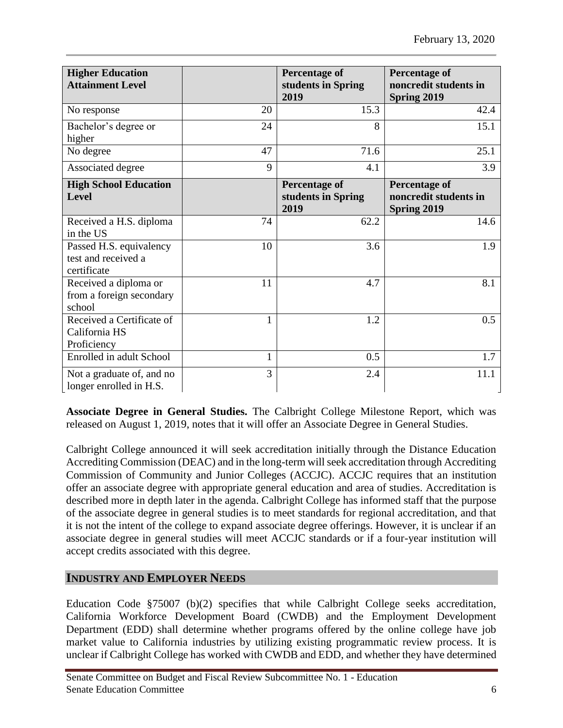| <b>Higher Education</b><br><b>Attainment Level</b>            |    | <b>Percentage of</b><br>students in Spring<br>2019 | <b>Percentage of</b><br>noncredit students in<br>Spring 2019 |
|---------------------------------------------------------------|----|----------------------------------------------------|--------------------------------------------------------------|
| No response                                                   | 20 | 15.3                                               | 42.4                                                         |
| Bachelor's degree or<br>higher                                | 24 | 8                                                  | 15.1                                                         |
| No degree                                                     | 47 | 71.6                                               | 25.1                                                         |
| Associated degree                                             | 9  | 4.1                                                | 3.9                                                          |
| <b>High School Education</b><br>Level                         |    | <b>Percentage of</b><br>students in Spring<br>2019 | <b>Percentage of</b><br>noncredit students in<br>Spring 2019 |
| Received a H.S. diploma<br>in the US                          | 74 | 62.2                                               | 14.6                                                         |
| Passed H.S. equivalency<br>test and received a<br>certificate | 10 | 3.6                                                | 1.9                                                          |
| Received a diploma or<br>from a foreign secondary<br>school   | 11 | 4.7                                                | 8.1                                                          |
| Received a Certificate of<br>California HS<br>Proficiency     | 1  | 1.2                                                | 0.5                                                          |
| Enrolled in adult School                                      | 1  | 0.5                                                | 1.7                                                          |
| Not a graduate of, and no<br>longer enrolled in H.S.          | 3  | 2.4                                                | 11.1                                                         |

**Associate Degree in General Studies.** The Calbright College Milestone Report, which was released on August 1, 2019, notes that it will offer an Associate Degree in General Studies.

Calbright College announced it will seek accreditation initially through the Distance Education Accrediting Commission (DEAC) and in the long-term will seek accreditation through Accrediting Commission of Community and Junior Colleges (ACCJC). ACCJC requires that an institution offer an associate degree with appropriate general education and area of studies. Accreditation is described more in depth later in the agenda. Calbright College has informed staff that the purpose of the associate degree in general studies is to meet standards for regional accreditation, and that it is not the intent of the college to expand associate degree offerings. However, it is unclear if an associate degree in general studies will meet ACCJC standards or if a four-year institution will accept credits associated with this degree.

# **INDUSTRY AND EMPLOYER NEEDS**

Education Code §75007 (b)(2) specifies that while Calbright College seeks accreditation, California Workforce Development Board (CWDB) and the Employment Development Department (EDD) shall determine whether programs offered by the online college have job market value to California industries by utilizing existing programmatic review process. It is unclear if Calbright College has worked with CWDB and EDD, and whether they have determined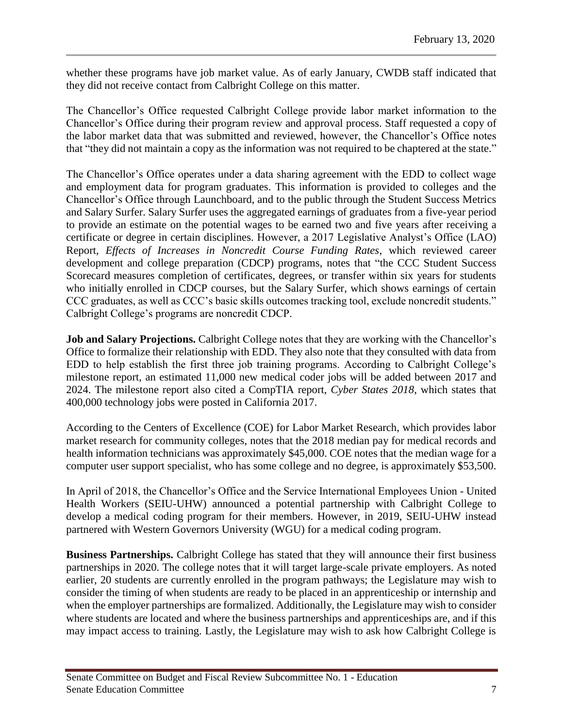whether these programs have job market value. As of early January, CWDB staff indicated that they did not receive contact from Calbright College on this matter.

The Chancellor's Office requested Calbright College provide labor market information to the Chancellor's Office during their program review and approval process. Staff requested a copy of the labor market data that was submitted and reviewed, however, the Chancellor's Office notes that "they did not maintain a copy as the information was not required to be chaptered at the state."

The Chancellor's Office operates under a data sharing agreement with the EDD to collect wage and employment data for program graduates. This information is provided to colleges and the Chancellor's Office through Launchboard, and to the public through the Student Success Metrics and Salary Surfer. Salary Surfer uses the aggregated earnings of graduates from a five-year period to provide an estimate on the potential wages to be earned two and five years after receiving a certificate or degree in certain disciplines. However, a 2017 Legislative Analyst's Office (LAO) Report, *Effects of Increases in Noncredit Course Funding Rates*, which reviewed career development and college preparation (CDCP) programs, notes that "the CCC Student Success Scorecard measures completion of certificates, degrees, or transfer within six years for students who initially enrolled in CDCP courses, but the Salary Surfer, which shows earnings of certain CCC graduates, as well as CCC's basic skills outcomes tracking tool, exclude noncredit students." Calbright College's programs are noncredit CDCP.

**Job and Salary Projections.** Calbright College notes that they are working with the Chancellor's Office to formalize their relationship with EDD. They also note that they consulted with data from EDD to help establish the first three job training programs. According to Calbright College's milestone report, an estimated 11,000 new medical coder jobs will be added between 2017 and 2024. The milestone report also cited a CompTIA report, *Cyber States 2018*, which states that 400,000 technology jobs were posted in California 2017.

According to the Centers of Excellence (COE) for Labor Market Research, which provides labor market research for community colleges, notes that the 2018 median pay for medical records and health information technicians was approximately \$45,000. COE notes that the median wage for a computer user support specialist, who has some college and no degree, is approximately \$53,500.

In April of 2018, the Chancellor's Office and the Service International Employees Union - United Health Workers (SEIU-UHW) announced a potential partnership with Calbright College to develop a medical coding program for their members. However, in 2019, SEIU-UHW instead partnered with Western Governors University (WGU) for a medical coding program.

**Business Partnerships.** Calbright College has stated that they will announce their first business partnerships in 2020. The college notes that it will target large-scale private employers. As noted earlier, 20 students are currently enrolled in the program pathways; the Legislature may wish to consider the timing of when students are ready to be placed in an apprenticeship or internship and when the employer partnerships are formalized. Additionally, the Legislature may wish to consider where students are located and where the business partnerships and apprenticeships are, and if this may impact access to training. Lastly, the Legislature may wish to ask how Calbright College is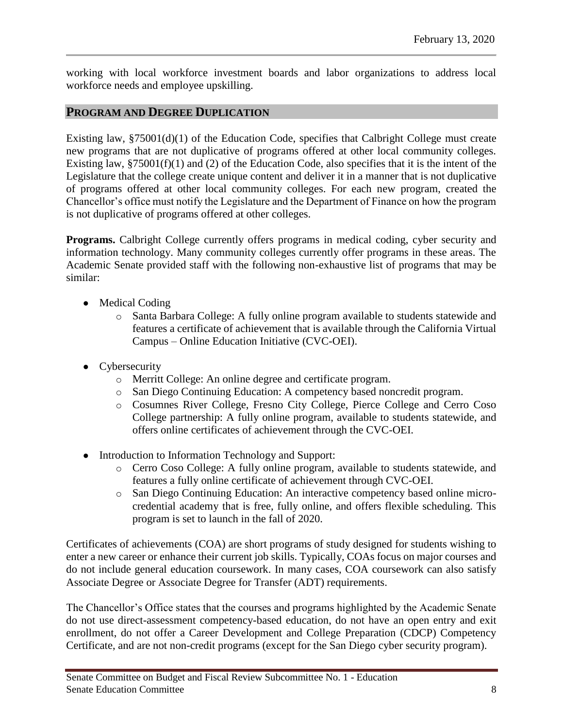working with local workforce investment boards and labor organizations to address local workforce needs and employee upskilling.

#### **PROGRAM AND DEGREE DUPLICATION**

Existing law, §75001(d)(1) of the Education Code, specifies that Calbright College must create new programs that are not duplicative of programs offered at other local community colleges. Existing law,  $$75001(f)(1)$  and (2) of the Education Code, also specifies that it is the intent of the Legislature that the college create unique content and deliver it in a manner that is not duplicative of programs offered at other local community colleges. For each new program, created the Chancellor's office must notify the Legislature and the Department of Finance on how the program is not duplicative of programs offered at other colleges.

**Programs.** Calbright College currently offers programs in medical coding, cyber security and information technology. Many community colleges currently offer programs in these areas. The Academic Senate provided staff with the following non-exhaustive list of programs that may be similar:

- Medical Coding
	- o Santa Barbara College: A fully online program available to students statewide and features a certificate of achievement that is available through the California Virtual Campus – Online Education Initiative (CVC-OEI).
- Cybersecurity
	- o Merritt College: An online degree and certificate program.
	- o San Diego Continuing Education: A competency based noncredit program.
	- o Cosumnes River College, Fresno City College, Pierce College and Cerro Coso College partnership: A fully online program, available to students statewide, and offers online certificates of achievement through the CVC-OEI.
- Introduction to Information Technology and Support:
	- o Cerro Coso College: A fully online program, available to students statewide, and features a fully online certificate of achievement through CVC-OEI.
	- o San Diego Continuing Education: An interactive competency based online microcredential academy that is free, fully online, and offers flexible scheduling. This program is set to launch in the fall of 2020.

Certificates of achievements (COA) are short programs of study designed for students wishing to enter a new career or enhance their current job skills. Typically, COAs focus on major courses and do not include general education coursework. In many cases, COA coursework can also satisfy Associate Degree or Associate Degree for Transfer (ADT) requirements.

The Chancellor's Office states that the courses and programs highlighted by the Academic Senate do not use direct-assessment competency-based education, do not have an open entry and exit enrollment, do not offer a Career Development and College Preparation (CDCP) Competency Certificate, and are not non-credit programs (except for the San Diego cyber security program).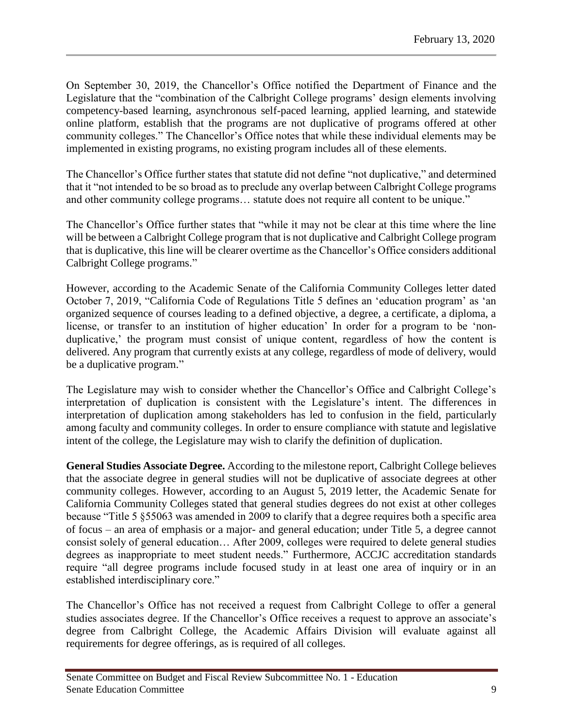On September 30, 2019, the Chancellor's Office notified the Department of Finance and the Legislature that the "combination of the Calbright College programs' design elements involving competency-based learning, asynchronous self-paced learning, applied learning, and statewide online platform, establish that the programs are not duplicative of programs offered at other community colleges." The Chancellor's Office notes that while these individual elements may be implemented in existing programs, no existing program includes all of these elements.

The Chancellor's Office further states that statute did not define "not duplicative," and determined that it "not intended to be so broad as to preclude any overlap between Calbright College programs and other community college programs… statute does not require all content to be unique."

The Chancellor's Office further states that "while it may not be clear at this time where the line will be between a Calbright College program that is not duplicative and Calbright College program that is duplicative, this line will be clearer overtime as the Chancellor's Office considers additional Calbright College programs."

However, according to the Academic Senate of the California Community Colleges letter dated October 7, 2019, "California Code of Regulations Title 5 defines an 'education program' as 'an organized sequence of courses leading to a defined objective, a degree, a certificate, a diploma, a license, or transfer to an institution of higher education' In order for a program to be 'nonduplicative,' the program must consist of unique content, regardless of how the content is delivered. Any program that currently exists at any college, regardless of mode of delivery, would be a duplicative program."

The Legislature may wish to consider whether the Chancellor's Office and Calbright College's interpretation of duplication is consistent with the Legislature's intent. The differences in interpretation of duplication among stakeholders has led to confusion in the field, particularly among faculty and community colleges. In order to ensure compliance with statute and legislative intent of the college, the Legislature may wish to clarify the definition of duplication.

**General Studies Associate Degree.** According to the milestone report, Calbright College believes that the associate degree in general studies will not be duplicative of associate degrees at other community colleges. However, according to an August 5, 2019 letter, the Academic Senate for California Community Colleges stated that general studies degrees do not exist at other colleges because "Title 5 §55063 was amended in 2009 to clarify that a degree requires both a specific area of focus – an area of emphasis or a major- and general education; under Title 5, a degree cannot consist solely of general education… After 2009, colleges were required to delete general studies degrees as inappropriate to meet student needs." Furthermore, ACCJC accreditation standards require "all degree programs include focused study in at least one area of inquiry or in an established interdisciplinary core."

The Chancellor's Office has not received a request from Calbright College to offer a general studies associates degree. If the Chancellor's Office receives a request to approve an associate's degree from Calbright College, the Academic Affairs Division will evaluate against all requirements for degree offerings, as is required of all colleges.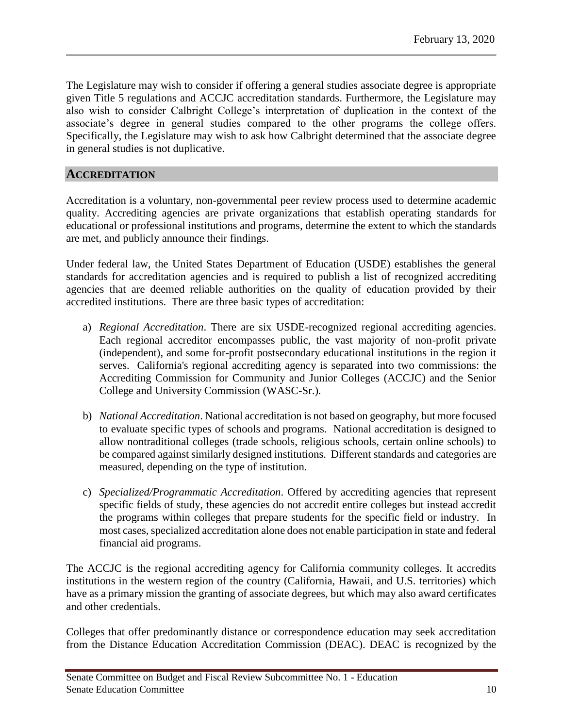The Legislature may wish to consider if offering a general studies associate degree is appropriate given Title 5 regulations and ACCJC accreditation standards. Furthermore, the Legislature may also wish to consider Calbright College's interpretation of duplication in the context of the associate's degree in general studies compared to the other programs the college offers. Specifically, the Legislature may wish to ask how Calbright determined that the associate degree in general studies is not duplicative.

# **ACCREDITATION**

Accreditation is a voluntary, non-governmental peer review process used to determine academic quality. Accrediting agencies are private organizations that establish operating standards for educational or professional institutions and programs, determine the extent to which the standards are met, and publicly announce their findings.

Under federal law, the United States Department of Education (USDE) establishes the general standards for accreditation agencies and is required to publish a list of recognized accrediting agencies that are deemed reliable authorities on the quality of education provided by their accredited institutions. There are three basic types of accreditation:

- a) *Regional Accreditation*. There are six USDE-recognized regional accrediting agencies. Each regional accreditor encompasses public, the vast majority of non-profit private (independent), and some for-profit postsecondary educational institutions in the region it serves. California's regional accrediting agency is separated into two commissions: the Accrediting Commission for Community and Junior Colleges (ACCJC) and the Senior College and University Commission (WASC-Sr.).
- b) *National Accreditation*. National accreditation is not based on geography, but more focused to evaluate specific types of schools and programs. National accreditation is designed to allow nontraditional colleges (trade schools, religious schools, certain online schools) to be compared against similarly designed institutions. Different standards and categories are measured, depending on the type of institution.
- c) *Specialized/Programmatic Accreditation*. Offered by accrediting agencies that represent specific fields of study, these agencies do not accredit entire colleges but instead accredit the programs within colleges that prepare students for the specific field or industry. In most cases, specialized accreditation alone does not enable participation in state and federal financial aid programs.

The ACCJC is the regional accrediting agency for California community colleges. It accredits institutions in the western region of the country (California, Hawaii, and U.S. territories) which have as a primary mission the granting of associate degrees, but which may also award certificates and other credentials.

Colleges that offer predominantly distance or correspondence education may seek accreditation from the Distance Education Accreditation Commission (DEAC). DEAC is recognized by the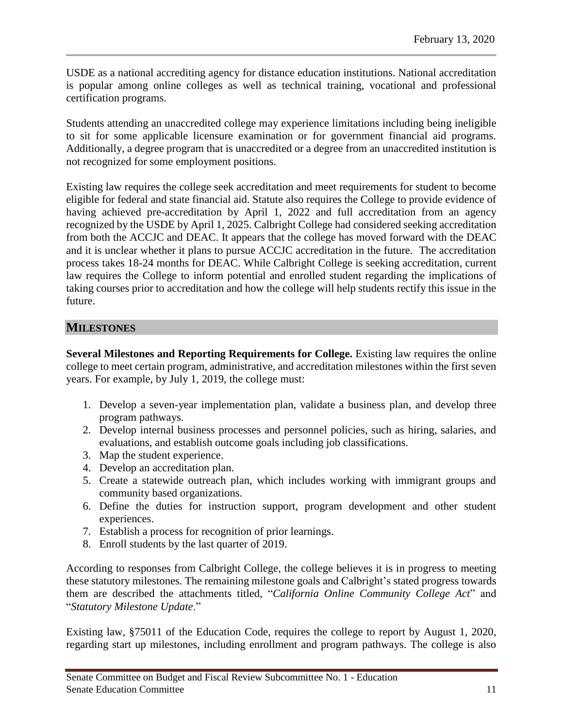USDE as a national accrediting agency for distance education institutions. National accreditation is popular among online colleges as well as technical training, vocational and professional certification programs.

Students attending an unaccredited college may experience limitations including being ineligible to sit for some applicable licensure examination or for government financial aid programs. Additionally, a degree program that is unaccredited or a degree from an unaccredited institution is not recognized for some employment positions.

Existing law requires the college seek accreditation and meet requirements for student to become eligible for federal and state financial aid. Statute also requires the College to provide evidence of having achieved pre-accreditation by April 1, 2022 and full accreditation from an agency recognized by the USDE by April 1, 2025. Calbright College had considered seeking accreditation from both the ACCJC and DEAC. It appears that the college has moved forward with the DEAC and it is unclear whether it plans to pursue ACCJC accreditation in the future. The accreditation process takes 18-24 months for DEAC. While Calbright College is seeking accreditation, current law requires the College to inform potential and enrolled student regarding the implications of taking courses prior to accreditation and how the college will help students rectify this issue in the future.

# **MILESTONES**

**Several Milestones and Reporting Requirements for College.** Existing law requires the online college to meet certain program, administrative, and accreditation milestones within the first seven years. For example, by July 1, 2019, the college must:

- 1. Develop a seven-year implementation plan, validate a business plan, and develop three program pathways.
- 2. Develop internal business processes and personnel policies, such as hiring, salaries, and evaluations, and establish outcome goals including job classifications.
- 3. Map the student experience.
- 4. Develop an accreditation plan.
- 5. Create a statewide outreach plan, which includes working with immigrant groups and community based organizations.
- 6. Define the duties for instruction support, program development and other student experiences.
- 7. Establish a process for recognition of prior learnings.
- 8. Enroll students by the last quarter of 2019.

According to responses from Calbright College, the college believes it is in progress to meeting these statutory milestones. The remaining milestone goals and Calbright's stated progress towards them are described the attachments titled, "*California Online Community College Act*" and "*Statutory Milestone Update*."

Existing law, §75011 of the Education Code, requires the college to report by August 1, 2020, regarding start up milestones, including enrollment and program pathways. The college is also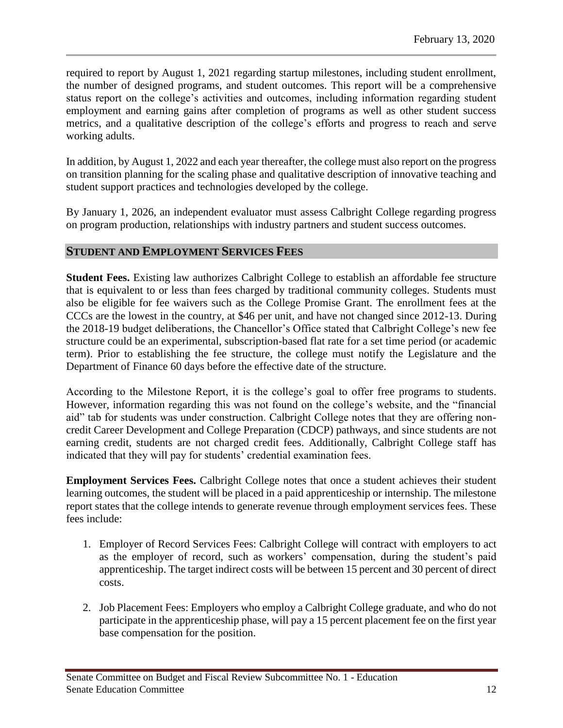required to report by August 1, 2021 regarding startup milestones, including student enrollment, the number of designed programs, and student outcomes. This report will be a comprehensive status report on the college's activities and outcomes, including information regarding student employment and earning gains after completion of programs as well as other student success metrics, and a qualitative description of the college's efforts and progress to reach and serve working adults.

In addition, by August 1, 2022 and each year thereafter, the college must also report on the progress on transition planning for the scaling phase and qualitative description of innovative teaching and student support practices and technologies developed by the college.

By January 1, 2026, an independent evaluator must assess Calbright College regarding progress on program production, relationships with industry partners and student success outcomes.

### **STUDENT AND EMPLOYMENT SERVICES FEES**

**Student Fees.** Existing law authorizes Calbright College to establish an affordable fee structure that is equivalent to or less than fees charged by traditional community colleges. Students must also be eligible for fee waivers such as the College Promise Grant. The enrollment fees at the CCCs are the lowest in the country, at \$46 per unit, and have not changed since 2012-13. During the 2018-19 budget deliberations, the Chancellor's Office stated that Calbright College's new fee structure could be an experimental, subscription-based flat rate for a set time period (or academic term). Prior to establishing the fee structure, the college must notify the Legislature and the Department of Finance 60 days before the effective date of the structure.

According to the Milestone Report, it is the college's goal to offer free programs to students. However, information regarding this was not found on the college's website, and the "financial aid" tab for students was under construction. Calbright College notes that they are offering noncredit Career Development and College Preparation (CDCP) pathways, and since students are not earning credit, students are not charged credit fees. Additionally, Calbright College staff has indicated that they will pay for students' credential examination fees.

**Employment Services Fees.** Calbright College notes that once a student achieves their student learning outcomes, the student will be placed in a paid apprenticeship or internship. The milestone report states that the college intends to generate revenue through employment services fees. These fees include:

- 1. Employer of Record Services Fees: Calbright College will contract with employers to act as the employer of record, such as workers' compensation, during the student's paid apprenticeship. The target indirect costs will be between 15 percent and 30 percent of direct costs.
- 2. Job Placement Fees: Employers who employ a Calbright College graduate, and who do not participate in the apprenticeship phase, will pay a 15 percent placement fee on the first year base compensation for the position.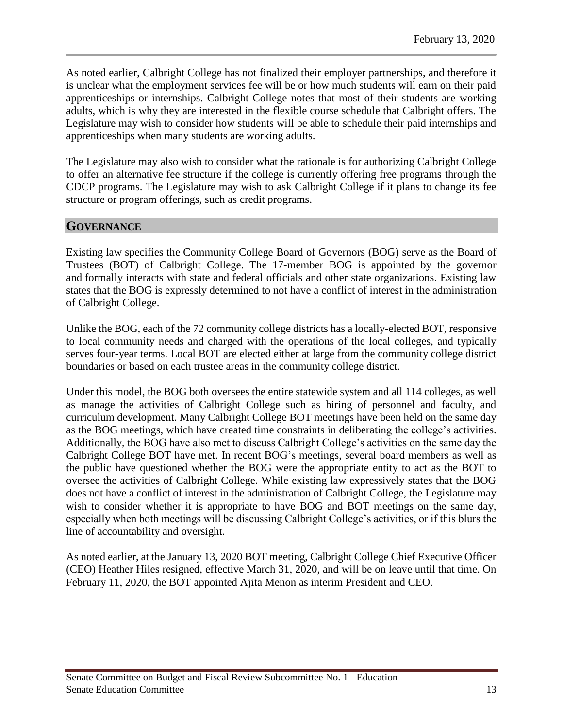As noted earlier, Calbright College has not finalized their employer partnerships, and therefore it is unclear what the employment services fee will be or how much students will earn on their paid apprenticeships or internships. Calbright College notes that most of their students are working adults, which is why they are interested in the flexible course schedule that Calbright offers. The Legislature may wish to consider how students will be able to schedule their paid internships and apprenticeships when many students are working adults.

The Legislature may also wish to consider what the rationale is for authorizing Calbright College to offer an alternative fee structure if the college is currently offering free programs through the CDCP programs. The Legislature may wish to ask Calbright College if it plans to change its fee structure or program offerings, such as credit programs.

### **GOVERNANCE**

Existing law specifies the Community College Board of Governors (BOG) serve as the Board of Trustees (BOT) of Calbright College. The 17-member BOG is appointed by the governor and formally interacts with state and federal officials and other state organizations. Existing law states that the BOG is expressly determined to not have a conflict of interest in the administration of Calbright College.

Unlike the BOG, each of the 72 community college districts has a locally-elected BOT, responsive to local community needs and charged with the operations of the local colleges, and typically serves four-year terms. Local BOT are elected either at large from the community college district boundaries or based on each trustee areas in the community college district.

Under this model, the BOG both oversees the entire statewide system and all 114 colleges, as well as manage the activities of Calbright College such as hiring of personnel and faculty, and curriculum development. Many Calbright College BOT meetings have been held on the same day as the BOG meetings, which have created time constraints in deliberating the college's activities. Additionally, the BOG have also met to discuss Calbright College's activities on the same day the Calbright College BOT have met. In recent BOG's meetings, several board members as well as the public have questioned whether the BOG were the appropriate entity to act as the BOT to oversee the activities of Calbright College. While existing law expressively states that the BOG does not have a conflict of interest in the administration of Calbright College, the Legislature may wish to consider whether it is appropriate to have BOG and BOT meetings on the same day, especially when both meetings will be discussing Calbright College's activities, or if this blurs the line of accountability and oversight.

As noted earlier, at the January 13, 2020 BOT meeting, Calbright College Chief Executive Officer (CEO) Heather Hiles resigned, effective March 31, 2020, and will be on leave until that time. On February 11, 2020, the BOT appointed Ajita Menon as interim President and CEO.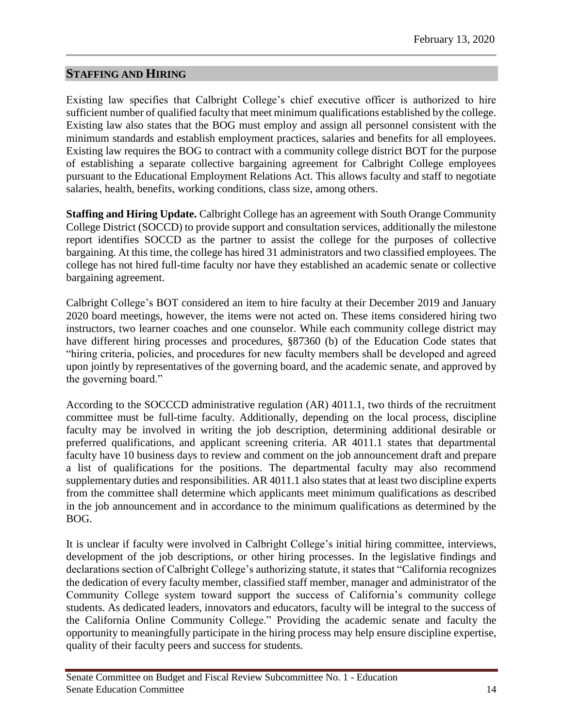# **STAFFING AND HIRING**

Existing law specifies that Calbright College's chief executive officer is authorized to hire sufficient number of qualified faculty that meet minimum qualifications established by the college. Existing law also states that the BOG must employ and assign all personnel consistent with the minimum standards and establish employment practices, salaries and benefits for all employees. Existing law requires the BOG to contract with a community college district BOT for the purpose of establishing a separate collective bargaining agreement for Calbright College employees pursuant to the Educational Employment Relations Act. This allows faculty and staff to negotiate salaries, health, benefits, working conditions, class size, among others.

**Staffing and Hiring Update.** Calbright College has an agreement with South Orange Community College District (SOCCD) to provide support and consultation services, additionally the milestone report identifies SOCCD as the partner to assist the college for the purposes of collective bargaining. At this time, the college has hired 31 administrators and two classified employees. The college has not hired full-time faculty nor have they established an academic senate or collective bargaining agreement.

Calbright College's BOT considered an item to hire faculty at their December 2019 and January 2020 board meetings, however, the items were not acted on. These items considered hiring two instructors, two learner coaches and one counselor. While each community college district may have different hiring processes and procedures, §87360 (b) of the Education Code states that "hiring criteria, policies, and procedures for new faculty members shall be developed and agreed upon jointly by representatives of the governing board, and the academic senate, and approved by the governing board."

According to the SOCCCD administrative regulation (AR) 4011.1, two thirds of the recruitment committee must be full-time faculty. Additionally, depending on the local process, discipline faculty may be involved in writing the job description, determining additional desirable or preferred qualifications, and applicant screening criteria. AR 4011.1 states that departmental faculty have 10 business days to review and comment on the job announcement draft and prepare a list of qualifications for the positions. The departmental faculty may also recommend supplementary duties and responsibilities. AR 4011.1 also states that at least two discipline experts from the committee shall determine which applicants meet minimum qualifications as described in the job announcement and in accordance to the minimum qualifications as determined by the BOG.

It is unclear if faculty were involved in Calbright College's initial hiring committee, interviews, development of the job descriptions, or other hiring processes. In the legislative findings and declarations section of Calbright College's authorizing statute, it states that "California recognizes the dedication of every faculty member, classified staff member, manager and administrator of the Community College system toward support the success of California's community college students. As dedicated leaders, innovators and educators, faculty will be integral to the success of the California Online Community College." Providing the academic senate and faculty the opportunity to meaningfully participate in the hiring process may help ensure discipline expertise, quality of their faculty peers and success for students.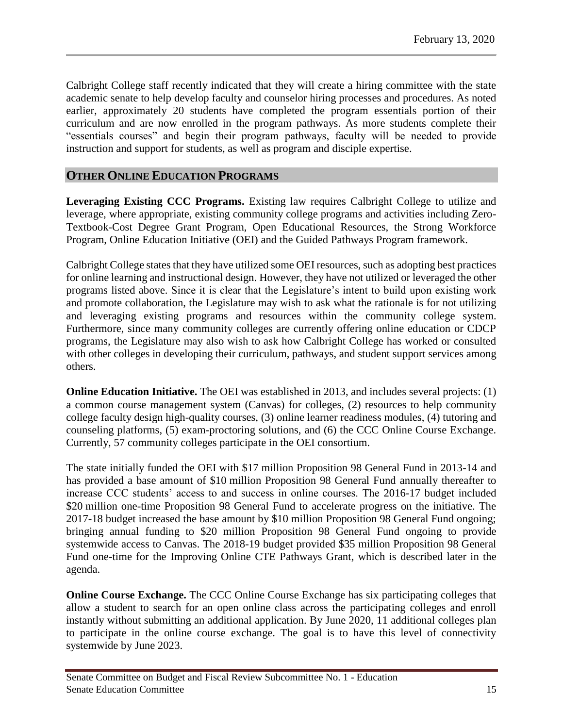Calbright College staff recently indicated that they will create a hiring committee with the state academic senate to help develop faculty and counselor hiring processes and procedures. As noted earlier, approximately 20 students have completed the program essentials portion of their curriculum and are now enrolled in the program pathways. As more students complete their "essentials courses" and begin their program pathways, faculty will be needed to provide instruction and support for students, as well as program and disciple expertise.

### **OTHER ONLINE EDUCATION PROGRAMS**

**Leveraging Existing CCC Programs.** Existing law requires Calbright College to utilize and leverage, where appropriate, existing community college programs and activities including Zero-Textbook-Cost Degree Grant Program, Open Educational Resources, the Strong Workforce Program, Online Education Initiative (OEI) and the Guided Pathways Program framework.

Calbright College states that they have utilized some OEI resources, such as adopting best practices for online learning and instructional design. However, they have not utilized or leveraged the other programs listed above. Since it is clear that the Legislature's intent to build upon existing work and promote collaboration, the Legislature may wish to ask what the rationale is for not utilizing and leveraging existing programs and resources within the community college system. Furthermore, since many community colleges are currently offering online education or CDCP programs, the Legislature may also wish to ask how Calbright College has worked or consulted with other colleges in developing their curriculum, pathways, and student support services among others.

**Online Education Initiative.** The OEI was established in 2013, and includes several projects: (1) a common course management system (Canvas) for colleges, (2) resources to help community college faculty design high-quality courses, (3) online learner readiness modules, (4) tutoring and counseling platforms, (5) exam-proctoring solutions, and (6) the CCC Online Course Exchange. Currently, 57 community colleges participate in the OEI consortium.

The state initially funded the OEI with \$17 million Proposition 98 General Fund in 2013-14 and has provided a base amount of \$10 million Proposition 98 General Fund annually thereafter to increase CCC students' access to and success in online courses. The 2016-17 budget included \$20 million one-time Proposition 98 General Fund to accelerate progress on the initiative. The 2017-18 budget increased the base amount by \$10 million Proposition 98 General Fund ongoing; bringing annual funding to \$20 million Proposition 98 General Fund ongoing to provide systemwide access to Canvas. The 2018-19 budget provided \$35 million Proposition 98 General Fund one-time for the Improving Online CTE Pathways Grant, which is described later in the agenda.

**Online Course Exchange.** The CCC Online Course Exchange has six participating colleges that allow a student to search for an open online class across the participating colleges and enroll instantly without submitting an additional application. By June 2020, 11 additional colleges plan to participate in the online course exchange. The goal is to have this level of connectivity systemwide by June 2023.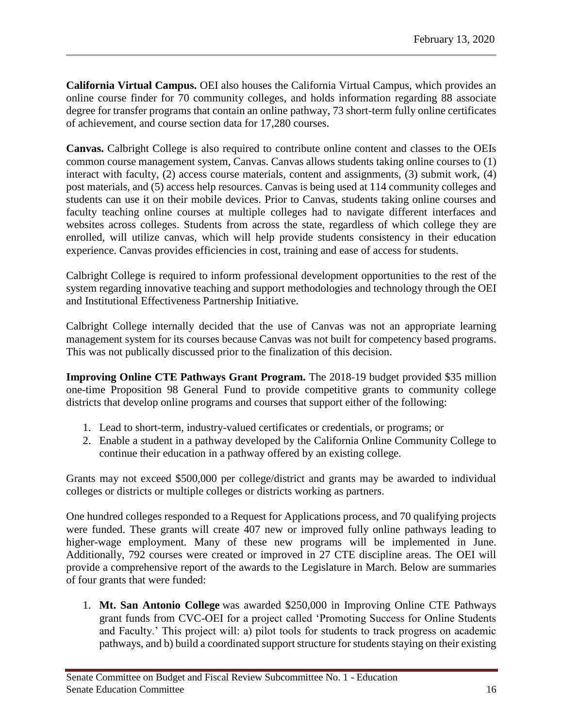**California Virtual Campus.** OEI also houses the California Virtual Campus, which provides an online course finder for 70 community colleges, and holds information regarding 88 associate degree for transfer programs that contain an online pathway, 73 short-term fully online certificates of achievement, and course section data for 17,280 courses.

**Canvas.** Calbright College is also required to contribute online content and classes to the OEIs common course management system, Canvas. Canvas allows students taking online courses to (1) interact with faculty, (2) access course materials, content and assignments, (3) submit work, (4) post materials, and (5) access help resources. Canvas is being used at 114 community colleges and students can use it on their mobile devices. Prior to Canvas, students taking online courses and faculty teaching online courses at multiple colleges had to navigate different interfaces and websites across colleges. Students from across the state, regardless of which college they are enrolled, will utilize canvas, which will help provide students consistency in their education experience. Canvas provides efficiencies in cost, training and ease of access for students.

Calbright College is required to inform professional development opportunities to the rest of the system regarding innovative teaching and support methodologies and technology through the OEI and Institutional Effectiveness Partnership Initiative.

Calbright College internally decided that the use of Canvas was not an appropriate learning management system for its courses because Canvas was not built for competency based programs. This was not publically discussed prior to the finalization of this decision.

**Improving Online CTE Pathways Grant Program.** The 2018-19 budget provided \$35 million one-time Proposition 98 General Fund to provide competitive grants to community college districts that develop online programs and courses that support either of the following:

- 1. Lead to short-term, industry-valued certificates or credentials, or programs; or
- 2. Enable a student in a pathway developed by the California Online Community College to continue their education in a pathway offered by an existing college.

Grants may not exceed \$500,000 per college/district and grants may be awarded to individual colleges or districts or multiple colleges or districts working as partners.

One hundred colleges responded to a Request for Applications process, and 70 qualifying projects were funded. These grants will create 407 new or improved fully online pathways leading to higher-wage employment. Many of these new programs will be implemented in June. Additionally, 792 courses were created or improved in 27 CTE discipline areas. The OEI will provide a comprehensive report of the awards to the Legislature in March. Below are summaries of four grants that were funded:

1. **Mt. San Antonio College** was awarded \$250,000 in Improving Online CTE Pathways grant funds from CVC-OEI for a project called 'Promoting Success for Online Students and Faculty.' This project will: a) pilot tools for students to track progress on academic pathways, and b) build a coordinated support structure for students staying on their existing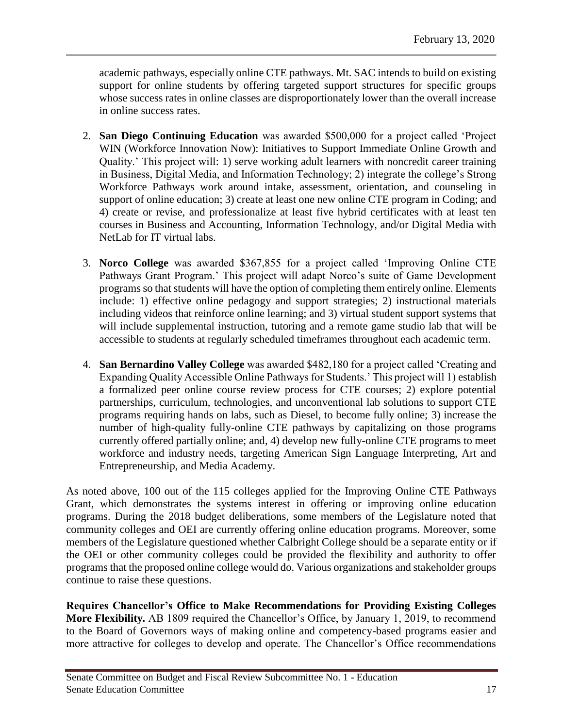academic pathways, especially online CTE pathways. Mt. SAC intends to build on existing support for online students by offering targeted support structures for specific groups whose success rates in online classes are disproportionately lower than the overall increase in online success rates.

- 2. **San Diego Continuing Education** was awarded \$500,000 for a project called 'Project WIN (Workforce Innovation Now): Initiatives to Support Immediate Online Growth and Quality.' This project will: 1) serve working adult learners with noncredit career training in Business, Digital Media, and Information Technology; 2) integrate the college's Strong Workforce Pathways work around intake, assessment, orientation, and counseling in support of online education; 3) create at least one new online CTE program in Coding; and 4) create or revise, and professionalize at least five hybrid certificates with at least ten courses in Business and Accounting, Information Technology, and/or Digital Media with NetLab for IT virtual labs.
- 3. **Norco College** was awarded \$367,855 for a project called 'Improving Online CTE Pathways Grant Program.' This project will adapt Norco's suite of Game Development programs so that students will have the option of completing them entirely online. Elements include: 1) effective online pedagogy and support strategies; 2) instructional materials including videos that reinforce online learning; and 3) virtual student support systems that will include supplemental instruction, tutoring and a remote game studio lab that will be accessible to students at regularly scheduled timeframes throughout each academic term.
- 4. **San Bernardino Valley College** was awarded \$482,180 for a project called 'Creating and Expanding Quality Accessible Online Pathways for Students.' This project will 1) establish a formalized peer online course review process for CTE courses; 2) explore potential partnerships, curriculum, technologies, and unconventional lab solutions to support CTE programs requiring hands on labs, such as Diesel, to become fully online; 3) increase the number of high-quality fully-online CTE pathways by capitalizing on those programs currently offered partially online; and, 4) develop new fully-online CTE programs to meet workforce and industry needs, targeting American Sign Language Interpreting, Art and Entrepreneurship, and Media Academy.

As noted above, 100 out of the 115 colleges applied for the Improving Online CTE Pathways Grant, which demonstrates the systems interest in offering or improving online education programs. During the 2018 budget deliberations, some members of the Legislature noted that community colleges and OEI are currently offering online education programs. Moreover, some members of the Legislature questioned whether Calbright College should be a separate entity or if the OEI or other community colleges could be provided the flexibility and authority to offer programs that the proposed online college would do. Various organizations and stakeholder groups continue to raise these questions.

**Requires Chancellor's Office to Make Recommendations for Providing Existing Colleges More Flexibility***.* AB 1809 required the Chancellor's Office, by January 1, 2019, to recommend to the Board of Governors ways of making online and competency-based programs easier and more attractive for colleges to develop and operate. The Chancellor's Office recommendations